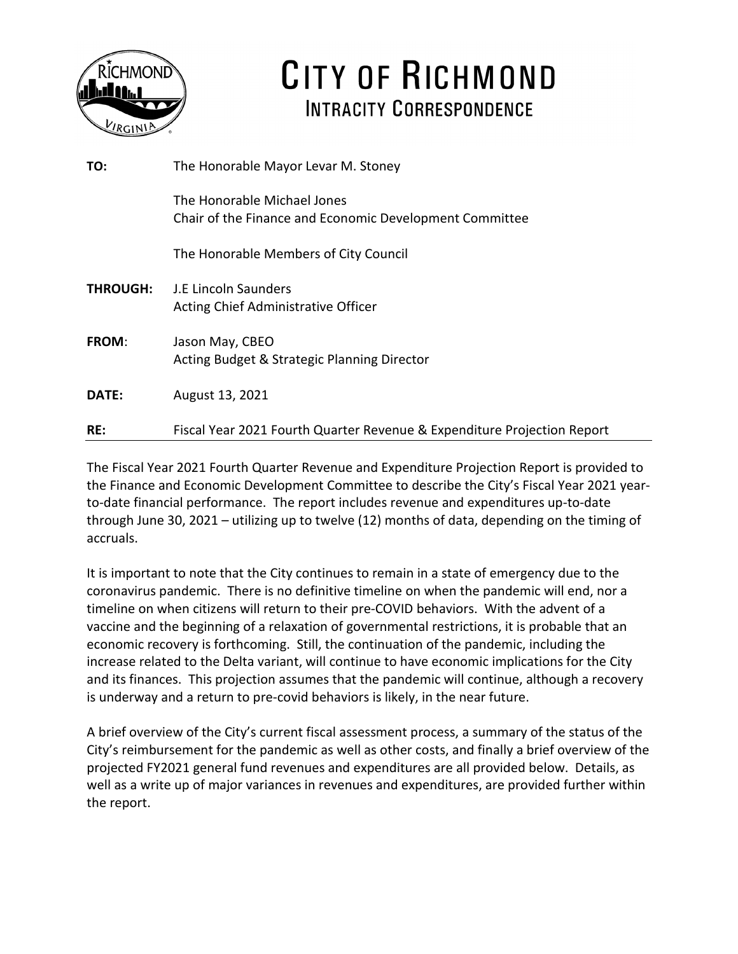

# CITY OF RICHMOND INTRACITY CORRESPONDENCE

| TO:             | The Honorable Mayor Levar M. Stoney                                                    |
|-----------------|----------------------------------------------------------------------------------------|
|                 | The Honorable Michael Jones<br>Chair of the Finance and Economic Development Committee |
|                 | The Honorable Members of City Council                                                  |
| <b>THROUGH:</b> | - J.E Lincoln Saunders<br>Acting Chief Administrative Officer                          |
| <b>FROM:</b>    | Jason May, CBEO<br>Acting Budget & Strategic Planning Director                         |
| <b>DATE:</b>    | August 13, 2021                                                                        |
| RE:             | Fiscal Year 2021 Fourth Quarter Revenue & Expenditure Projection Report                |

The Fiscal Year 2021 Fourth Quarter Revenue and Expenditure Projection Report is provided to the Finance and Economic Development Committee to describe the City's Fiscal Year 2021 yearto-date financial performance. The report includes revenue and expenditures up-to-date through June 30, 2021 – utilizing up to twelve (12) months of data, depending on the timing of accruals.

It is important to note that the City continues to remain in a state of emergency due to the coronavirus pandemic. There is no definitive timeline on when the pandemic will end, nor a timeline on when citizens will return to their pre-COVID behaviors. With the advent of a vaccine and the beginning of a relaxation of governmental restrictions, it is probable that an economic recovery is forthcoming. Still, the continuation of the pandemic, including the increase related to the Delta variant, will continue to have economic implications for the City and its finances. This projection assumes that the pandemic will continue, although a recovery is underway and a return to pre-covid behaviors is likely, in the near future.

A brief overview of the City's current fiscal assessment process, a summary of the status of the City's reimbursement for the pandemic as well as other costs, and finally a brief overview of the projected FY2021 general fund revenues and expenditures are all provided below. Details, as well as a write up of major variances in revenues and expenditures, are provided further within the report.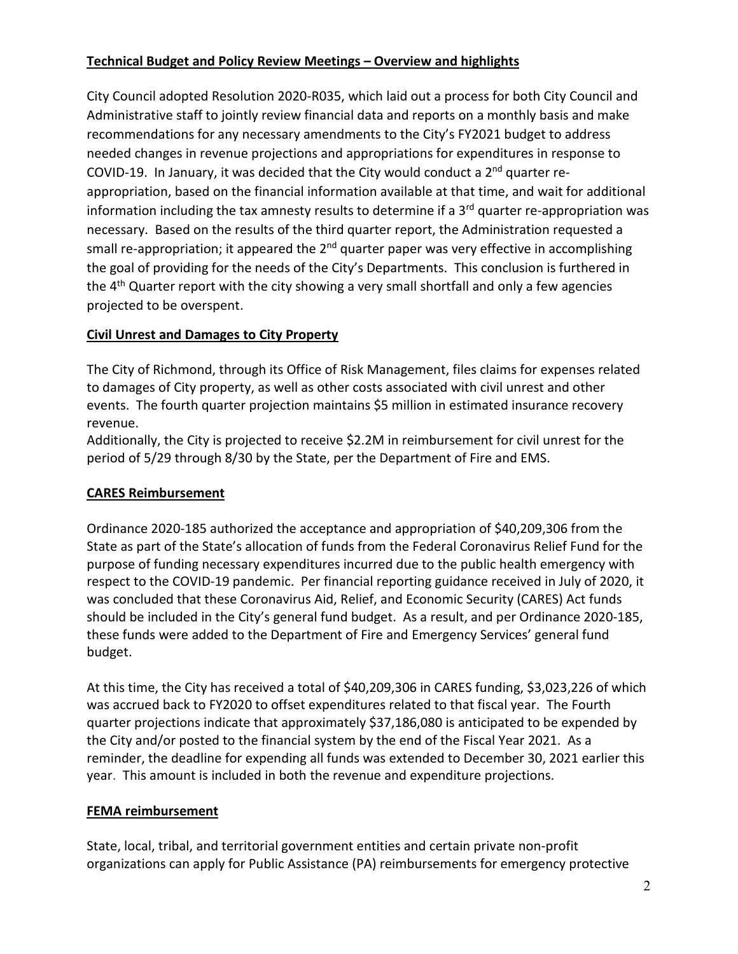# **Technical Budget and Policy Review Meetings – Overview and highlights**

City Council adopted Resolution 2020-R035, which laid out a process for both City Council and Administrative staff to jointly review financial data and reports on a monthly basis and make recommendations for any necessary amendments to the City's FY2021 budget to address needed changes in revenue projections and appropriations for expenditures in response to COVID-19. In January, it was decided that the City would conduct a  $2<sup>nd</sup>$  quarter reappropriation, based on the financial information available at that time, and wait for additional information including the tax amnesty results to determine if a  $3<sup>rd</sup>$  quarter re-appropriation was necessary. Based on the results of the third quarter report, the Administration requested a small re-appropriation; it appeared the  $2^{nd}$  quarter paper was very effective in accomplishing the goal of providing for the needs of the City's Departments. This conclusion is furthered in the  $4<sup>th</sup>$  Quarter report with the city showing a very small shortfall and only a few agencies projected to be overspent.

# **Civil Unrest and Damages to City Property**

The City of Richmond, through its Office of Risk Management, files claims for expenses related to damages of City property, as well as other costs associated with civil unrest and other events. The fourth quarter projection maintains \$5 million in estimated insurance recovery revenue.

Additionally, the City is projected to receive \$2.2M in reimbursement for civil unrest for the period of 5/29 through 8/30 by the State, per the Department of Fire and EMS.

# **CARES Reimbursement**

Ordinance 2020-185 authorized the acceptance and appropriation of \$40,209,306 from the State as part of the State's allocation of funds from the Federal Coronavirus Relief Fund for the purpose of funding necessary expenditures incurred due to the public health emergency with respect to the COVID-19 pandemic. Per financial reporting guidance received in July of 2020, it was concluded that these Coronavirus Aid, Relief, and Economic Security (CARES) Act funds should be included in the City's general fund budget. As a result, and per Ordinance 2020-185, these funds were added to the Department of Fire and Emergency Services' general fund budget.

At this time, the City has received a total of \$40,209,306 in CARES funding, \$3,023,226 of which was accrued back to FY2020 to offset expenditures related to that fiscal year. The Fourth quarter projections indicate that approximately \$37,186,080 is anticipated to be expended by the City and/or posted to the financial system by the end of the Fiscal Year 2021. As a reminder, the deadline for expending all funds was extended to December 30, 2021 earlier this year. This amount is included in both the revenue and expenditure projections.

# **FEMA reimbursement**

State, local, tribal, and territorial government entities and certain private non-profit organizations can apply for Public Assistance (PA) reimbursements for emergency protective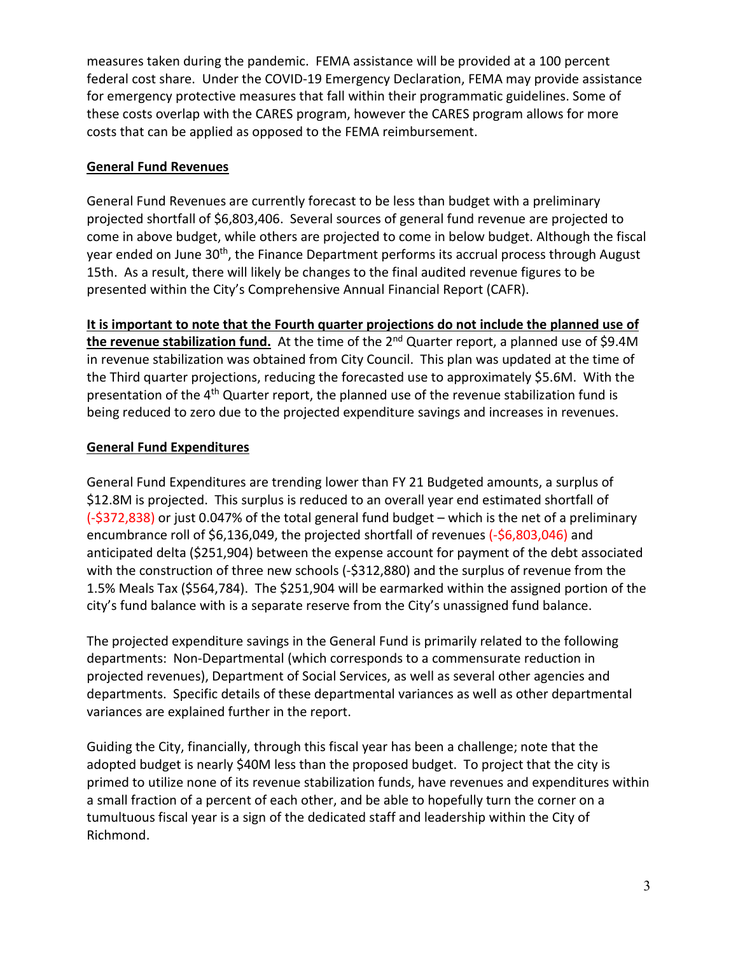measures taken during the pandemic. FEMA assistance will be provided at a 100 percent federal cost share. Under the COVID-19 Emergency Declaration, FEMA may provide assistance for emergency protective measures that fall within their programmatic guidelines. Some of these costs overlap with the CARES program, however the CARES program allows for more costs that can be applied as opposed to the FEMA reimbursement.

### **General Fund Revenues**

General Fund Revenues are currently forecast to be less than budget with a preliminary projected shortfall of \$6,803,406. Several sources of general fund revenue are projected to come in above budget, while others are projected to come in below budget. Although the fiscal year ended on June 30<sup>th</sup>, the Finance Department performs its accrual process through August 15th. As a result, there will likely be changes to the final audited revenue figures to be presented within the City's Comprehensive Annual Financial Report (CAFR).

**It is important to note that the Fourth quarter projections do not include the planned use of**  the revenue stabilization fund. At the time of the 2<sup>nd</sup> Quarter report, a planned use of \$9.4M in revenue stabilization was obtained from City Council. This plan was updated at the time of the Third quarter projections, reducing the forecasted use to approximately \$5.6M. With the presentation of the 4th Quarter report, the planned use of the revenue stabilization fund is being reduced to zero due to the projected expenditure savings and increases in revenues.

### **General Fund Expenditures**

General Fund Expenditures are trending lower than FY 21 Budgeted amounts, a surplus of \$12.8M is projected. This surplus is reduced to an overall year end estimated shortfall of (-\$372,838) or just 0.047% of the total general fund budget – which is the net of a preliminary encumbrance roll of \$6,136,049, the projected shortfall of revenues (-\$6,803,046) and anticipated delta (\$251,904) between the expense account for payment of the debt associated with the construction of three new schools (-\$312,880) and the surplus of revenue from the 1.5% Meals Tax (\$564,784). The \$251,904 will be earmarked within the assigned portion of the city's fund balance with is a separate reserve from the City's unassigned fund balance.

The projected expenditure savings in the General Fund is primarily related to the following departments: Non-Departmental (which corresponds to a commensurate reduction in projected revenues), Department of Social Services, as well as several other agencies and departments. Specific details of these departmental variances as well as other departmental variances are explained further in the report.

Guiding the City, financially, through this fiscal year has been a challenge; note that the adopted budget is nearly \$40M less than the proposed budget. To project that the city is primed to utilize none of its revenue stabilization funds, have revenues and expenditures within a small fraction of a percent of each other, and be able to hopefully turn the corner on a tumultuous fiscal year is a sign of the dedicated staff and leadership within the City of Richmond.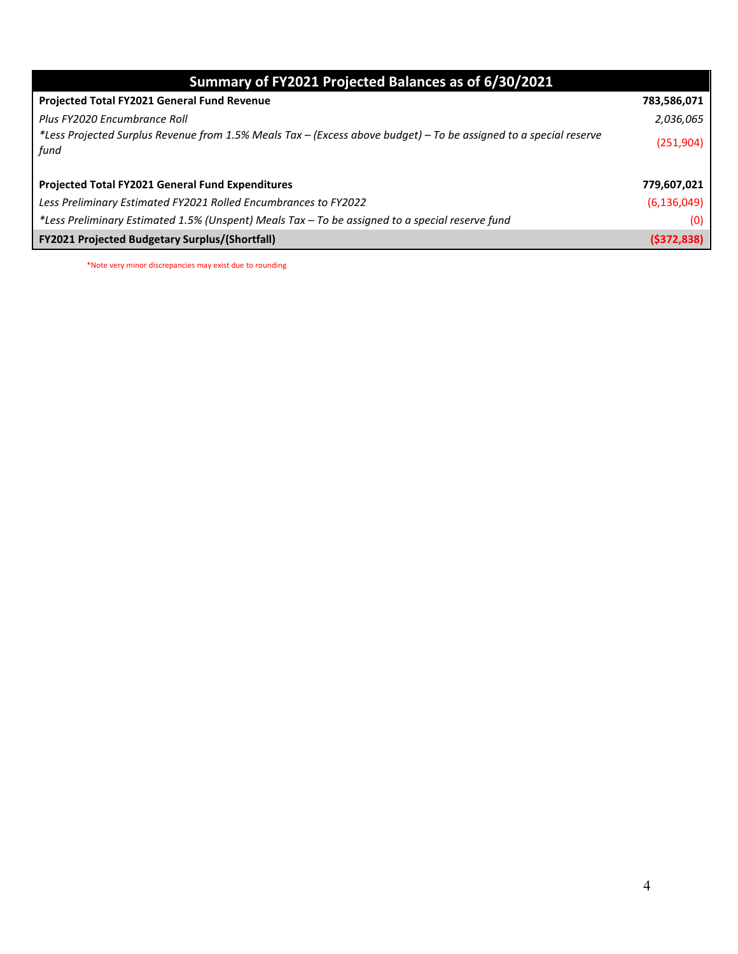|  |  | Summary of FY2021 Projected Balances as of 6/30/2021 |
|--|--|------------------------------------------------------|
|--|--|------------------------------------------------------|

| <b>Projected Total FY2021 General Fund Revenue</b>                                                                        | 783,586,071   |
|---------------------------------------------------------------------------------------------------------------------------|---------------|
| Plus FY2020 Encumbrance Roll                                                                                              | 2,036,065     |
| *Less Projected Surplus Revenue from 1.5% Meals Tax – (Excess above budget) – To be assigned to a special reserve<br>fund | (251, 904)    |
| Projected Total FY2021 General Fund Expenditures                                                                          | 779,607,021   |
| Less Preliminary Estimated FY2021 Rolled Encumbrances to FY2022                                                           | (6, 136, 049) |
| *Less Preliminary Estimated 1.5% (Unspent) Meals Tax - To be assigned to a special reserve fund                           | (0)           |
| <b>FY2021 Projected Budgetary Surplus/(Shortfall)</b>                                                                     | (5372, 838)   |

\*Note very minor discrepancies may exist due to rounding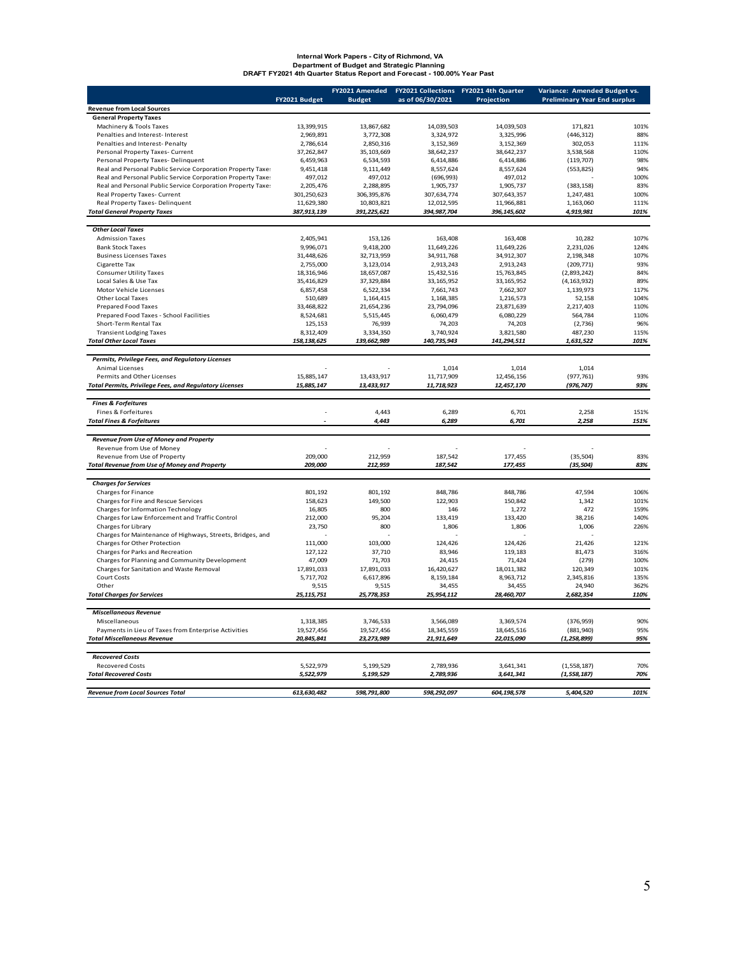# **Internal Work Papers - City of Richmond, VA Department of Budget and Strategic Planning DRAFT FY2021 4th Quarter Status Report and Forecast - 100.00% Year Past**

|                                                               | FY2021 Budget | FY2021 Amended<br><b>Budget</b> | as of 06/30/2021 | FY2021 Collections FY2021 4th Quarter<br>Projection | Variance: Amended Budget vs.<br><b>Preliminary Year End surplus</b> |      |
|---------------------------------------------------------------|---------------|---------------------------------|------------------|-----------------------------------------------------|---------------------------------------------------------------------|------|
| <b>Revenue from Local Sources</b>                             |               |                                 |                  |                                                     |                                                                     |      |
| <b>General Property Taxes</b>                                 |               |                                 |                  |                                                     |                                                                     |      |
| Machinery & Tools Taxes                                       | 13,399,915    | 13,867,682                      | 14,039,503       | 14,039,503                                          | 171,821                                                             | 101% |
| Penalties and Interest- Interest                              | 2.969.891     | 3.772.308                       | 3.324.972        | 3.325.996                                           | (446, 312)                                                          | 88%  |
| Penalties and Interest- Penalty                               | 2,786,614     | 2,850,316                       | 3,152,369        | 3,152,369                                           | 302,053                                                             | 111% |
| Personal Property Taxes- Current                              | 37,262,847    | 35, 103, 669                    | 38,642,237       | 38,642,237                                          | 3,538,568                                                           | 110% |
| Personal Property Taxes- Delinquent                           | 6,459,963     | 6,534,593                       | 6,414,886        | 6,414,886                                           | (119, 707)                                                          | 98%  |
| Real and Personal Public Service Corporation Property Taxe:   | 9,451,418     | 9,111,449                       | 8,557,624        | 8,557,624                                           | (553, 825)                                                          | 94%  |
| Real and Personal Public Service Corporation Property Taxe:   | 497,012       | 497,012                         | (696, 993)       | 497,012                                             |                                                                     | 100% |
| Real and Personal Public Service Corporation Property Taxe:   | 2,205,476     | 2,288,895                       | 1,905,737        | 1,905,737                                           | (383, 158)                                                          | 83%  |
| Real Property Taxes- Current                                  | 301,250,623   | 306, 395, 876                   | 307,634,774      | 307,643,357                                         | 1,247,481                                                           | 100% |
| Real Property Taxes-Delinquent                                | 11,629,380    | 10,803,821                      | 12,012,595       | 11.966.881                                          | 1,163,060                                                           | 111% |
| <b>Total General Property Taxes</b>                           | 387, 913, 139 | 391,225,621                     | 394, 987, 704    | 396, 145, 602                                       | 4,919,981                                                           | 101% |
|                                                               |               |                                 |                  |                                                     |                                                                     |      |
| <b>Other Local Taxes</b>                                      |               |                                 |                  |                                                     |                                                                     |      |
| <b>Admission Taxes</b>                                        | 2,405,941     | 153,126                         | 163,408          | 163,408                                             | 10,282                                                              | 107% |
| <b>Bank Stock Taxes</b>                                       | 9,996,071     | 9,418,200                       | 11,649,226       | 11,649,226                                          | 2,231,026                                                           | 124% |
| <b>Business Licenses Taxes</b>                                | 31,448,626    | 32,713,959                      | 34,911,768       | 34,912,307                                          | 2,198,348                                                           | 107% |
| Cigarette Tax                                                 | 2,755,000     | 3,123,014                       | 2,913,243        | 2,913,243                                           | (209, 771)                                                          | 93%  |
| <b>Consumer Utility Taxes</b>                                 | 18,316,946    | 18,657,087                      | 15,432,516       | 15,763,845                                          | (2,893,242)                                                         | 84%  |
| Local Sales & Use Tax                                         | 35,416,829    | 37,329,884                      | 33, 165, 952     | 33, 165, 952                                        | (4, 163, 932)                                                       | 89%  |
| Motor Vehicle Licenses                                        | 6,857,458     | 6,522,334                       | 7,661,743        | 7,662,307                                           | 1,139,973                                                           | 117% |
| Other Local Taxes                                             | 510,689       | 1,164,415                       | 1,168,385        | 1,216,573                                           | 52,158                                                              | 104% |
| Prepared Food Taxes                                           | 33,468,822    | 21,654,236                      | 23,794,096       | 23,871,639                                          | 2,217,403                                                           | 110% |
| Prepared Food Taxes - School Facilities                       | 8,524,681     | 5,515,445                       | 6,060,479        | 6,080,229                                           | 564,784                                                             | 110% |
| Short-Term Rental Tax                                         | 125,153       | 76,939                          | 74,203           | 74,203                                              | (2,736)                                                             | 96%  |
| <b>Transient Lodging Taxes</b>                                | 8,312,409     | 3,334,350                       | 3,740,924        | 3,821,580                                           | 487,230                                                             | 115% |
| <b>Total Other Local Taxes</b>                                | 158, 138, 625 | 139,662,989                     | 140,735,943      | 141,294,511                                         | 1,631,522                                                           | 101% |
|                                                               |               |                                 |                  |                                                     |                                                                     |      |
| Permits, Privilege Fees, and Regulatory Licenses              |               |                                 |                  |                                                     |                                                                     |      |
| <b>Animal Licenses</b>                                        |               |                                 | 1.014            | 1.014                                               | 1.014                                                               |      |
| Permits and Other Licenses                                    | 15,885,147    | 13,433,917                      | 11,717,909       | 12,456,156                                          | (977, 761)                                                          | 93%  |
| <b>Total Permits, Privilege Fees, and Regulatory Licenses</b> | 15,885,147    | 13,433,917                      | 11,718,923       | 12,457,170                                          | (976, 747)                                                          | 93%  |
|                                                               |               |                                 |                  |                                                     |                                                                     |      |
| <b>Fines &amp; Forfeitures</b>                                |               |                                 |                  |                                                     |                                                                     |      |
| Fines & Forfeitures                                           |               | 4,443                           | 6,289            | 6,701                                               | 2,258                                                               | 151% |
| <b>Total Fines &amp; Forfeitures</b>                          |               | 4,443                           | 6,289            | 6,701                                               | 2,258                                                               | 151% |
|                                                               |               |                                 |                  |                                                     |                                                                     |      |
| Revenue from Use of Money and Property                        |               |                                 |                  |                                                     |                                                                     |      |
| Revenue from Use of Money                                     |               |                                 |                  |                                                     |                                                                     |      |
| Revenue from Use of Property                                  | 209,000       | 212,959                         | 187,542          | 177,455                                             | (35, 504)                                                           | 83%  |
| <b>Total Revenue from Use of Money and Property</b>           | 209,000       | 212,959                         | 187,542          | 177,455                                             | (35, 504)                                                           | 83%  |
|                                                               |               |                                 |                  |                                                     |                                                                     |      |
| <b>Charges for Services</b>                                   |               |                                 |                  |                                                     |                                                                     |      |
| Charges for Finance                                           | 801,192       | 801,192                         | 848,786          | 848,786                                             | 47,594                                                              | 106% |
| Charges for Fire and Rescue Services                          | 158,623       | 149,500                         | 122,903          | 150,842                                             | 1,342                                                               | 101% |
| Charges for Information Technology                            | 16,805        | 800                             | 146              | 1,272                                               | 472                                                                 | 159% |
| Charges for Law Enforcement and Traffic Control               | 212,000       | 95,204                          | 133,419          | 133,420                                             | 38,216                                                              | 140% |
| Charges for Library                                           | 23,750        | 800                             | 1,806            | 1,806                                               | 1,006                                                               | 226% |
| Charges for Maintenance of Highways, Streets, Bridges, and    |               |                                 |                  |                                                     |                                                                     |      |
| Charges for Other Protection                                  | 111,000       | 103,000                         | 124,426          | 124,426                                             | 21,426                                                              | 121% |
| Charges for Parks and Recreation                              | 127,122       | 37,710                          | 83,946           | 119,183                                             | 81,473                                                              | 316% |
| Charges for Planning and Community Development                | 47,009        | 71,703                          | 24,415           | 71,424                                              | (279)                                                               | 100% |
| Charges for Sanitation and Waste Removal                      | 17,891,033    | 17,891,033                      | 16,420,627       | 18,011,382                                          | 120,349                                                             | 101% |
| <b>Court Costs</b>                                            | 5,717,702     | 6,617,896                       | 8,159,184        | 8,963,712                                           | 2,345,816                                                           | 135% |
| Other                                                         | 9,515         | 9,515                           | 34,455           | 34,455                                              | 24,940                                                              | 362% |
| <b>Total Charges for Services</b>                             | 25, 115, 751  | 25,778,353                      | 25,954,112       | 28,460,707                                          | 2,682,354                                                           | 110% |
|                                                               |               |                                 |                  |                                                     |                                                                     |      |
| <b>Miscellaneous Revenue</b>                                  |               |                                 |                  |                                                     |                                                                     |      |
| Miscellaneous                                                 | 1,318,385     | 3,746,533                       | 3,566,089        | 3,369,574                                           | (376, 959)                                                          | 90%  |
| Payments in Lieu of Taxes from Enterprise Activities          | 19,527,456    | 19,527,456                      | 18,345,559       | 18,645,516                                          | (881,940)                                                           | 95%  |
| <b>Total Miscellaneous Revenue</b>                            | 20,845,841    | 23, 273, 989                    | 21,911,649       | 22,015,090                                          | (1, 258, 899)                                                       | 95%  |
|                                                               |               |                                 |                  |                                                     |                                                                     |      |
| <b>Recovered Costs</b>                                        |               |                                 |                  |                                                     |                                                                     |      |
| <b>Recovered Costs</b>                                        | 5,522,979     | 5,199,529                       | 2,789,936        | 3,641,341                                           | (1, 558, 187)                                                       | 70%  |
| <b>Total Recovered Costs</b>                                  | 5,522,979     | 5,199,529                       | 2,789,936        | 3,641,341                                           | (1, 558, 187)                                                       | 70%  |
| <b>Revenue from Local Sources Total</b>                       | 613, 630, 482 | 598,791,800                     | 598,292,097      | 604,198,578                                         | 5,404,520                                                           | 101% |
|                                                               |               |                                 |                  |                                                     |                                                                     |      |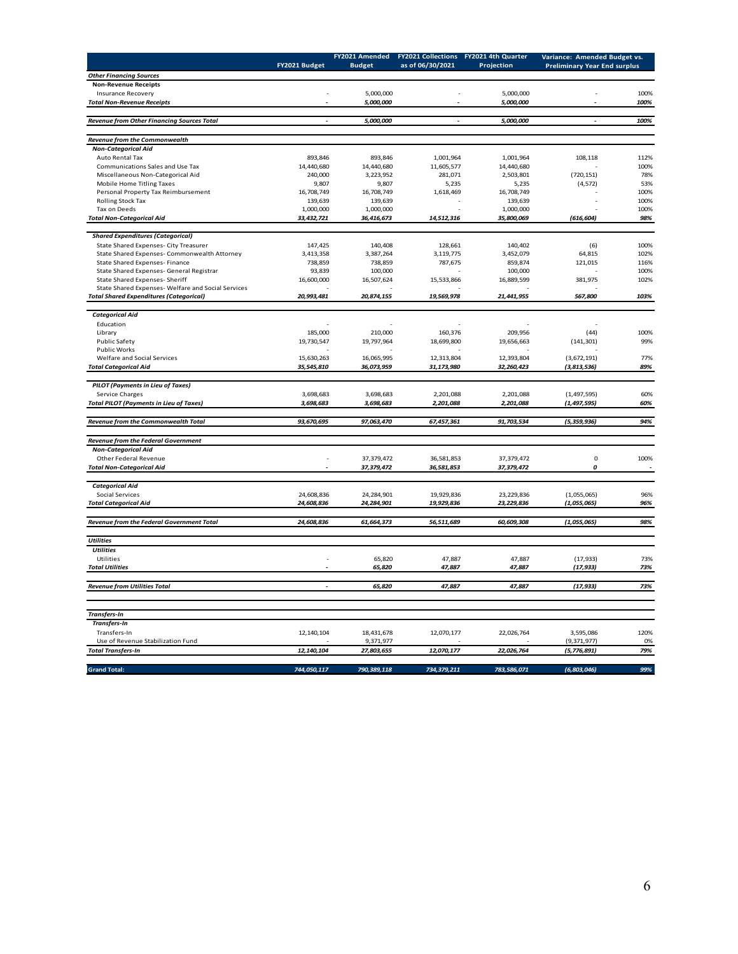|                                                                |                | FY2021 Amended             | <b>FY2021 Collections</b> | FY2021 4th Quarter         | Variance: Amended Budget vs.        |              |
|----------------------------------------------------------------|----------------|----------------------------|---------------------------|----------------------------|-------------------------------------|--------------|
|                                                                | FY2021 Budget  | <b>Budget</b>              | as of 06/30/2021          | Projection                 | <b>Preliminary Year End surplus</b> |              |
| <b>Other Financing Sources</b>                                 |                |                            |                           |                            |                                     |              |
| <b>Non-Revenue Receipts</b>                                    |                |                            |                           |                            |                                     |              |
| <b>Insurance Recovery</b><br><b>Total Non-Revenue Receipts</b> |                | 5,000,000<br>5,000,000     | L,                        | 5,000,000<br>5,000,000     |                                     | 100%<br>100% |
|                                                                |                |                            |                           |                            |                                     |              |
| <b>Revenue from Other Financing Sources Total</b>              |                | 5,000,000                  |                           | 5,000,000                  |                                     | 100%         |
|                                                                |                |                            |                           |                            |                                     |              |
| Revenue from the Commonwealth                                  |                |                            |                           |                            |                                     |              |
| <b>Non-Categorical Aid</b>                                     |                |                            |                           |                            |                                     |              |
| Auto Rental Tax                                                | 893,846        | 893,846                    | 1,001,964                 | 1,001,964                  | 108,118                             | 112%         |
| Communications Sales and Use Tax                               | 14,440,680     | 14,440,680                 | 11,605,577                | 14,440,680                 |                                     | 100%         |
| Miscellaneous Non-Categorical Aid                              | 240,000        | 3,223,952                  | 281,071                   | 2,503,801                  | (720, 151)<br>78%                   |              |
| Mobile Home Titling Taxes                                      | 9,807          | 9,807                      | 5,235                     | 5,235                      | (4, 572)<br>53%                     |              |
| Personal Property Tax Reimbursement                            | 16,708,749     | 16,708,749                 | 1,618,469                 | 16,708,749                 | 100%                                |              |
| Rolling Stock Tax                                              | 139,639        | 139,639                    |                           | 139,639                    |                                     | 100%         |
| Tax on Deeds                                                   | 1,000,000      | 1,000,000                  |                           | 1,000,000                  |                                     | 100%         |
| <b>Total Non-Categorical Aid</b>                               | 33,432,721     | 36,416,673                 | 14,512,316                | 35,800,069                 | (616, 604)                          | 98%          |
| <b>Shared Expenditures (Categorical)</b>                       |                |                            |                           |                            |                                     |              |
| State Shared Expenses- City Treasurer                          | 147,425        | 140,408                    | 128,661                   | 140,402                    | (6)                                 | 100%         |
| State Shared Expenses- Commonwealth Attorney                   | 3,413,358      | 3,387,264                  | 3,119,775                 | 3,452,079                  | 64,815                              | 102%         |
| State Shared Expenses- Finance                                 | 738,859        | 738,859                    | 787,675                   | 859,874                    | 121,015                             | 116%         |
| State Shared Expenses- General Registrar                       | 93,839         | 100,000                    |                           | 100,000                    |                                     | 100%         |
| State Shared Expenses- Sheriff                                 | 16,600,000     | 16,507,624                 | 15,533,866                | 16,889,599                 | 381,975                             | 102%         |
| State Shared Expenses- Welfare and Social Services             |                |                            |                           |                            |                                     |              |
| <b>Total Shared Expenditures (Categorical)</b>                 | 20,993,481     | 20,874,155                 | 19,569,978                | 21,441,955                 | 567,800                             | 103%         |
|                                                                |                |                            |                           |                            |                                     |              |
| <b>Categorical Aid</b>                                         |                |                            |                           |                            |                                     |              |
| Education                                                      |                |                            |                           |                            |                                     |              |
| Library                                                        | 185,000        | 210,000                    | 160,376                   | 209,956                    | (44)                                | 100%         |
| Public Safety<br>Public Works                                  | 19,730,547     | 19,797,964                 | 18,699,800                | 19,656,663                 | (141, 301)                          | 99%          |
| Welfare and Social Services                                    | 15,630,263     | 16,065,995                 | 12,313,804                | 12,393,804                 | (3,672,191)                         | 77%          |
| <b>Total Categorical Aid</b>                                   | 35,545,810     | 36,073,959                 | 31,173,980                | 32,260,423                 | (3, 813, 536)                       | 89%          |
|                                                                |                |                            |                           |                            |                                     |              |
| <b>PILOT</b> (Payments in Lieu of Taxes)                       |                |                            |                           |                            |                                     |              |
| Service Charges                                                | 3,698,683      | 3,698,683                  | 2,201,088                 | 2,201,088                  | (1, 497, 595)                       | 60%          |
| <b>Total PILOT (Payments in Lieu of Taxes)</b>                 | 3,698,683      | 3,698,683                  | 2,201,088                 | 2,201,088                  | (1, 497, 595)                       | 60%          |
|                                                                |                |                            |                           |                            |                                     |              |
| Revenue from the Commonwealth Total                            | 93,670,695     | 97,063,470                 | 67,457,361                | 91,703,534                 | (5, 359, 936)                       | 94%          |
|                                                                |                |                            |                           |                            |                                     |              |
| <b>Revenue from the Federal Government</b>                     |                |                            |                           |                            |                                     |              |
| <b>Non-Categorical Aid</b>                                     | ٠              |                            |                           |                            | 0                                   | 100%         |
| Other Federal Revenue<br><b>Total Non-Categorical Aid</b>      | $\overline{a}$ | 37,379,472<br>37, 379, 472 | 36,581,853<br>36,581,853  | 37,379,472<br>37, 379, 472 | 0                                   | ÷,           |
|                                                                |                |                            |                           |                            |                                     |              |
| <b>Categorical Aid</b>                                         |                |                            |                           |                            |                                     |              |
| Social Services                                                | 24,608,836     | 24,284,901                 | 19,929,836                | 23,229,836                 | (1,055,065)                         | 96%          |
| <b>Total Categorical Aid</b>                                   | 24,608,836     | 24,284,901                 | 19,929,836                | 23, 229, 836               | (1,055,065)                         | 96%          |
|                                                                |                |                            |                           |                            |                                     |              |
| Revenue from the Federal Government Total                      | 24,608,836     | 61,664,373                 | 56,511,689                | 60,609,308                 | (1,055,065)                         | 98%          |
|                                                                |                |                            |                           |                            |                                     |              |
| <b>Utilities</b>                                               |                |                            |                           |                            |                                     |              |
| <b>Utilities</b>                                               |                |                            |                           |                            |                                     |              |
| Utilities                                                      |                | 65,820                     | 47,887                    | 47,887                     | (17, 933)                           | 73%          |
| <b>Total Utilities</b>                                         |                | 65,820                     | 47,887                    | 47,887                     | (17, 933)                           | 73%          |
|                                                                |                |                            |                           |                            |                                     |              |
| <b>Revenue from Utilities Total</b>                            |                | 65,820                     | 47,887                    | 47,887                     | (17, 933)                           | 73%          |
|                                                                |                |                            |                           |                            |                                     |              |
| <b>Transfers-In</b>                                            |                |                            |                           |                            |                                     |              |
| <b>Transfers-In</b>                                            |                |                            |                           |                            |                                     |              |
| Transfers-In                                                   | 12, 140, 104   | 18,431,678                 | 12,070,177                | 22,026,764                 | 3,595,086                           | 120%         |
| Use of Revenue Stabilization Fund                              |                | 9,371,977                  |                           |                            | (9,371,977)                         | 0%           |
| <b>Total Transfers-In</b>                                      | 12, 140, 104   | 27,803,655                 | 12,070,177                | 22,026,764                 | (5, 776, 891)                       | 79%          |
|                                                                |                |                            |                           |                            |                                     |              |
| <b>Grand Total:</b>                                            | 744,050,117    | 790,389,118                | 734,379,211               | 783,586,071                | (6, 803, 046)                       | 99%          |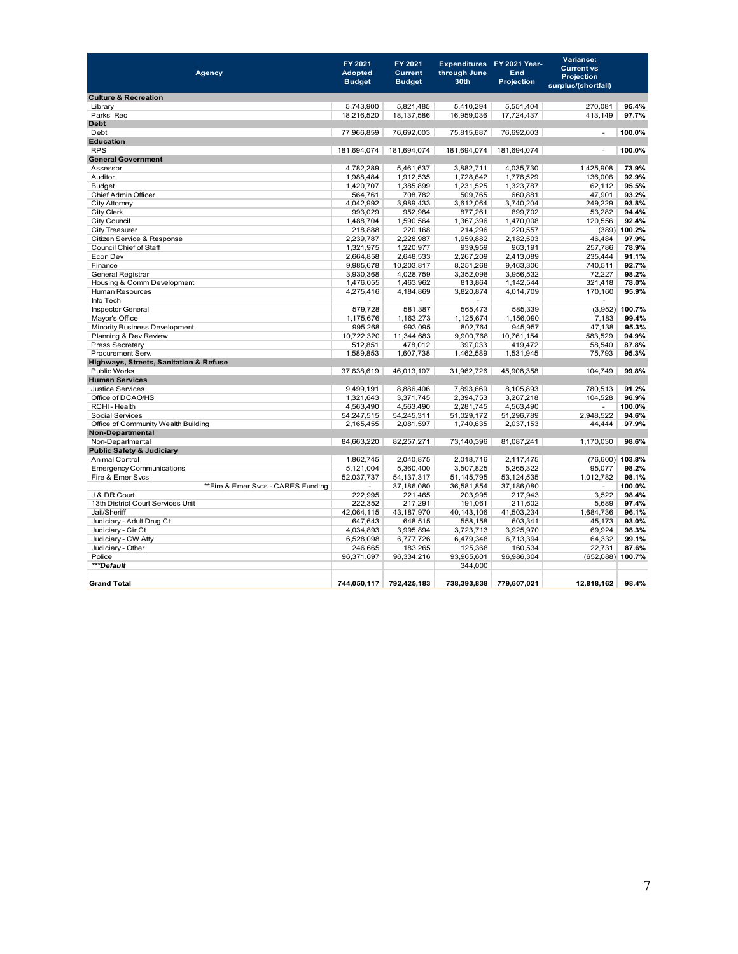| <b>Agency</b>                          | FY 2021<br><b>Adopted</b><br><b>Budget</b> | FY 2021<br><b>Current</b><br><b>Budget</b> | through June<br>30th | Expenditures FY 2021 Year-<br><b>End</b><br><b>Projection</b> | Variance:<br><b>Current vs</b><br>Projection<br>surplus/(shortfall) |                  |
|----------------------------------------|--------------------------------------------|--------------------------------------------|----------------------|---------------------------------------------------------------|---------------------------------------------------------------------|------------------|
| <b>Culture &amp; Recreation</b>        |                                            |                                            |                      |                                                               |                                                                     |                  |
| Library                                | 5,743,900                                  | 5,821,485                                  | 5,410,294            | 5,551,404                                                     | 270,081                                                             | 95.4%            |
| Parks Rec                              | 18,216,520                                 | 18,137,586                                 | 16,959,036           | 17,724,437                                                    | 413,149                                                             | 97.7%            |
| <b>Debt</b>                            |                                            |                                            |                      |                                                               |                                                                     |                  |
| Debt                                   | 77,966,859                                 | 76,692,003                                 | 75,815,687           | 76,692,003                                                    | $\mathbf{r}$                                                        | 100.0%           |
| <b>Education</b>                       |                                            |                                            |                      |                                                               |                                                                     |                  |
| <b>RPS</b>                             |                                            | 181,694,074 181,694,074                    | 181,694,074          | 181,694,074                                                   | $\blacksquare$                                                      | 100.0%           |
| <b>General Government</b>              |                                            |                                            |                      |                                                               |                                                                     |                  |
| Assessor                               | 4,782,289                                  | 5,461,637                                  | 3,882,711            | 4,035,730                                                     | 1,425,908                                                           | 73.9%            |
| Auditor                                | 1,988,484                                  | 1,912,535                                  | 1,728,642            | 1,776,529                                                     | 136,006                                                             | 92.9%            |
| <b>Budget</b>                          | 1,420,707                                  | 1,385,899                                  | 1,231,525            | 1,323,787                                                     | 62,112                                                              | 95.5%            |
| Chief Admin Officer                    | 564,761                                    | 708,782                                    | 509.765              | 660,881                                                       | 47,901                                                              | 93.2%            |
| City Attorney                          | 4,042,992                                  | 3,989,433                                  | 3,612,064            | 3,740,204                                                     | 249,229                                                             | 93.8%            |
| City Clerk                             | 993,029                                    | 952,984                                    | 877,261              | 899,702                                                       | 53,282                                                              | 94.4%            |
| <b>City Council</b>                    | 1,488,704                                  | 1,590,564                                  | 1,367,396            | 1,470,008                                                     | 120,556                                                             | 92.4%            |
| City Treasurer                         | 218.888                                    | 220.168                                    | 214.296              | 220,557                                                       |                                                                     | $(389)$ 100.2%   |
| Citizen Service & Response             | 2,239,787                                  | 2,228,987                                  | 1,959,882            | 2,182,503                                                     | 46,484                                                              | 97.9%            |
| Council Chief of Staff                 | 1,321,975                                  | 1,220,977                                  | 939,959              | 963,191                                                       | 257,786                                                             | 78.9%            |
| Econ Dev                               | 2,664,858                                  | 2,648,533                                  | 2,267,209            | 2,413,089                                                     | 235,444                                                             | 91.1%            |
| Finance                                | 9,985,678                                  | 10,203,817                                 | 8,251,268            | 9,463,306                                                     | 740,511                                                             | 92.7%            |
| General Registrar                      | 3,930,368                                  | 4,028,759                                  | 3,352,098            | 3,956,532                                                     | 72,227                                                              | 98.2%            |
| Housing & Comm Development             | 1,476,055                                  | 1,463,962                                  | 813,864              | 1,142,544                                                     | 321,418                                                             | 78.0%            |
| <b>Human Resources</b>                 | 4,275,416                                  | 4,184,869                                  | 3,820,874            | 4,014,709                                                     | 170,160                                                             | 95.9%            |
| Info Tech                              |                                            |                                            |                      |                                                               |                                                                     |                  |
| <b>Inspector General</b>               | 579.728                                    | 581,387                                    | 565.473              | 585.339                                                       |                                                                     | $(3,952)$ 100.7% |
| Mayor's Office                         | 1,175,676                                  | 1,163,273                                  | 1,125,674            | 1,156,090                                                     | 7,183                                                               | 99.4%            |
| Minority Business Development          | 995,268                                    | 993,095                                    | 802,764              | 945,957                                                       | 47,138                                                              | 95.3%            |
| Planning & Dev Review                  | 10,722,320                                 | 11,344,683                                 | 9,900,768            | 10,761,154                                                    | 583,529                                                             | 94.9%            |
| Press Secretary                        | 512,851                                    | 478,012                                    | 397,033              | 419,472                                                       | 58,540                                                              | 87.8%            |
| Procurement Serv.                      | 1,589,853                                  | 1,607,738                                  | 1,462,589            | 1,531,945                                                     | 75,793                                                              | 95.3%            |
| Highways, Streets, Sanitation & Refuse |                                            |                                            |                      |                                                               |                                                                     |                  |
| <b>Public Works</b>                    | 37,638,619                                 | 46,013,107                                 | 31,962,726           | 45,908,358                                                    | 104,749                                                             | 99.8%            |
| <b>Human Services</b>                  |                                            |                                            |                      |                                                               |                                                                     |                  |
| <b>Justice Services</b>                | 9,499,191                                  | 8,886,406                                  | 7,893,669            | 8,105,893                                                     | 780,513                                                             | 91.2%            |
| Office of DCAO/HS                      | 1,321,643                                  | 3,371,745                                  | 2,394,753            | 3,267,218                                                     | 104,528                                                             | 96.9%            |
| RCHI-Health                            | 4,563,490                                  | 4,563,490                                  | 2,281,745            | 4,563,490                                                     |                                                                     | 100.0%           |
| <b>Social Services</b>                 | 54,247,515                                 | 54,245,311                                 | 51,029,172           | 51,296,789                                                    | 2,948,522                                                           | 94.6%            |
| Office of Community Wealth Building    | 2,165,455                                  | 2,081,597                                  | 1,740,635            | 2,037,153                                                     | 44.444                                                              | 97.9%            |
| <b>Non-Departmental</b>                |                                            |                                            |                      |                                                               |                                                                     |                  |
| Non-Departmental                       | 84,663,220                                 | 82,257,271                                 | 73,140,396           | 81,087,241                                                    | 1,170,030                                                           | 98.6%            |
| <b>Public Safety &amp; Judiciary</b>   |                                            |                                            |                      |                                                               |                                                                     |                  |
| <b>Animal Control</b>                  | 1,862,745                                  | 2,040,875                                  | 2,018,716            | 2,117,475                                                     |                                                                     | (76,600) 103.8%  |
| <b>Emergency Communications</b>        | 5,121,004                                  | 5,360,400                                  | 3,507,825            | 5,265,322                                                     | 95,077                                                              | 98.2%            |
| Fire & Emer Svcs                       | 52,037,737                                 | 54, 137, 317                               | 51,145,795           | 53,124,535                                                    | 1,012,782                                                           | 98.1%            |
| **Fire & Emer Svcs - CARES Funding     | $\overline{a}$                             | 37,186,080                                 | 36,581,854           | 37,186,080                                                    | $\overline{\phantom{a}}$                                            | 100.0%           |
| J & DR Court                           | 222,995                                    | 221,465                                    | 203,995              | 217,943                                                       | 3,522                                                               | 98.4%            |
| 13th District Court Services Unit      | 222,352                                    | 217,291                                    | 191,061              | 211,602                                                       | 5,689                                                               | 97.4%            |
| Jail/Sheriff                           | 42,064,115                                 | 43,187,970                                 | 40,143,106           | 41,503,234                                                    | 1,684,736                                                           | 96.1%            |
| Judiciary - Adult Drug Ct              | 647,643                                    | 648,515                                    | 558,158              | 603,341                                                       | 45,173                                                              | 93.0%            |
| Judiciary - Cir Ct                     | 4,034,893                                  | 3,995,894                                  | 3,723,713            | 3,925,970                                                     | 69,924                                                              | 98.3%            |
| Judiciary - CW Atty                    | 6,528,098                                  | 6,777,726                                  | 6,479,348            | 6,713,394                                                     | 64.332                                                              | 99.1%            |
| Judiciary - Other                      | 246,665                                    | 183,265                                    | 125,368              | 160,534                                                       | 22,731                                                              | 87.6%            |
| Police                                 | 96,371,697                                 | 96,334,216                                 | 93,965,601           | 96,986,304                                                    | (652,088) 100.7%                                                    |                  |
| ***Default                             |                                            |                                            | 344,000              |                                                               |                                                                     |                  |
|                                        |                                            |                                            |                      |                                                               |                                                                     |                  |
| <b>Grand Total</b>                     | 744,050,117                                | 792.425.183                                | 738.393.838          | 779.607.021                                                   | 12.818.162                                                          | 98.4%            |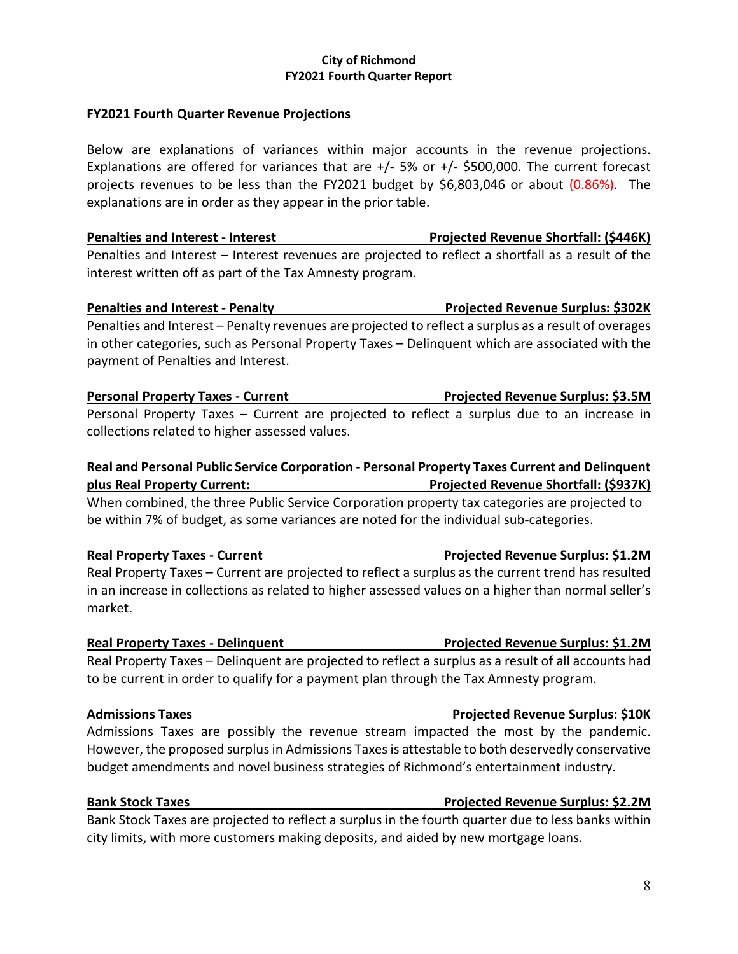### **City of Richmond FY2021 Fourth Quarter Report**

### **FY2021 Fourth Quarter Revenue Projections**

Below are explanations of variances within major accounts in the revenue projections. Explanations are offered for variances that are  $+/$ - 5% or  $+/-$  \$500,000. The current forecast projects revenues to be less than the FY2021 budget by \$6,803,046 or about (0.86%). The explanations are in order as they appear in the prior table.

**Penalties and Interest - Interest Projected Revenue Shortfall: (\$446K)** Penalties and Interest – Interest revenues are projected to reflect a shortfall as a result of the interest written off as part of the Tax Amnesty program.

# **Penalties and Interest - Penalty Projected Revenue Surplus: \$302K**

Penalties and Interest – Penalty revenues are projected to reflect a surplus as a result of overages in other categories, such as Personal Property Taxes – Delinquent which are associated with the payment of Penalties and Interest.

# **Personal Property Taxes - Current Projected Revenue Surplus: \$3.5M**

Personal Property Taxes – Current are projected to reflect a surplus due to an increase in collections related to higher assessed values.

# **Real and Personal Public Service Corporation - Personal Property Taxes Current and Delinquent plus Real Property Current: Projected Revenue Shortfall: (\$937K)**

When combined, the three Public Service Corporation property tax categories are projected to be within 7% of budget, as some variances are noted for the individual sub-categories.

### **Real Property Taxes - Current Network: St.2M** Projected Revenue Surplus: \$1.2M

Real Property Taxes – Current are projected to reflect a surplus as the current trend has resulted in an increase in collections as related to higher assessed values on a higher than normal seller's market.

Real Property Taxes – Delinquent are projected to reflect a surplus as a result of all accounts had to be current in order to qualify for a payment plan through the Tax Amnesty program.

### **Admissions Taxes Projected Revenue Surplus: \$10K**

Admissions Taxes are possibly the revenue stream impacted the most by the pandemic. However, the proposed surplus in Admissions Taxes is attestable to both deservedly conservative budget amendments and novel business strategies of Richmond's entertainment industry.

### **Bank Stock Taxes Projected Revenue Surplus: \$2.2M**

Bank Stock Taxes are projected to reflect a surplus in the fourth quarter due to less banks within city limits, with more customers making deposits, and aided by new mortgage loans.

**Real Property Taxes - Delinquent Projected Revenue Surplus: \$1.2M**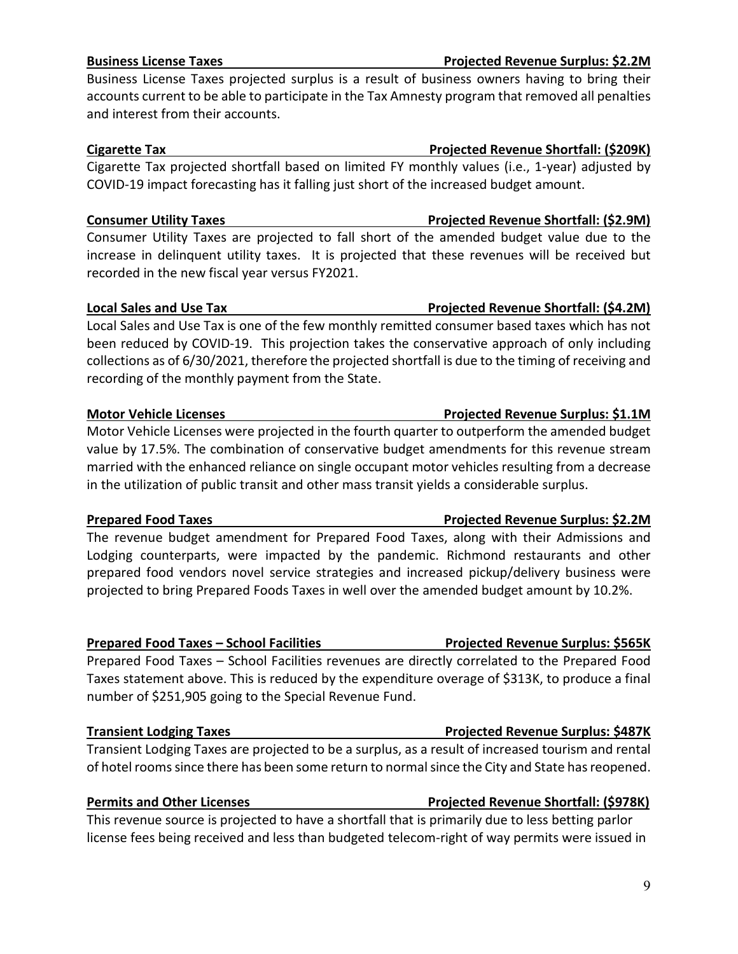# **Business License Taxes Projected Revenue Surplus: \$2.2M**

Business License Taxes projected surplus is a result of business owners having to bring their accounts current to be able to participate in the Tax Amnesty program that removed all penalties and interest from their accounts.

Cigarette Tax projected shortfall based on limited FY monthly values (i.e., 1-year) adjusted by COVID-19 impact forecasting has it falling just short of the increased budget amount.

### **Consumer Utility Taxes The Consumer Utility Taxes According to Projected Revenue Shortfall: (\$2.9M)**

Consumer Utility Taxes are projected to fall short of the amended budget value due to the increase in delinquent utility taxes. It is projected that these revenues will be received but recorded in the new fiscal year versus FY2021.

### **Local Sales and Use Tax Construction Constrained Being Projected Revenue Shortfall: (\$4.2M)**

Local Sales and Use Tax is one of the few monthly remitted consumer based taxes which has not been reduced by COVID-19. This projection takes the conservative approach of only including collections as of 6/30/2021, therefore the projected shortfall is due to the timing of receiving and recording of the monthly payment from the State.

Motor Vehicle Licenses were projected in the fourth quarter to outperform the amended budget value by 17.5%. The combination of conservative budget amendments for this revenue stream married with the enhanced reliance on single occupant motor vehicles resulting from a decrease in the utilization of public transit and other mass transit yields a considerable surplus.

### **Prepared Food Taxes Projected Revenue Surplus: \$2.2M**

The revenue budget amendment for Prepared Food Taxes, along with their Admissions and Lodging counterparts, were impacted by the pandemic. Richmond restaurants and other prepared food vendors novel service strategies and increased pickup/delivery business were projected to bring Prepared Foods Taxes in well over the amended budget amount by 10.2%.

### **Prepared Food Taxes – School Facilities Projected Revenue Surplus: \$565K**

Prepared Food Taxes – School Facilities revenues are directly correlated to the Prepared Food Taxes statement above. This is reduced by the expenditure overage of \$313K, to produce a final number of \$251,905 going to the Special Revenue Fund.

### **Transient Lodging Taxes Projected Revenue Surplus: \$487K**

Transient Lodging Taxes are projected to be a surplus, as a result of increased tourism and rental of hotel rooms since there has been some return to normalsince the City and State has reopened.

### **Permits and Other Licenses Projected Revenue Shortfall: (\$978K)**

This revenue source is projected to have a shortfall that is primarily due to less betting parlor license fees being received and less than budgeted telecom-right of way permits were issued in

# **Motor Vehicle Licenses Projected Revenue Surplus: \$1.1M**

# **Cigarette Tax Projected Revenue Shortfall: (\$209K)**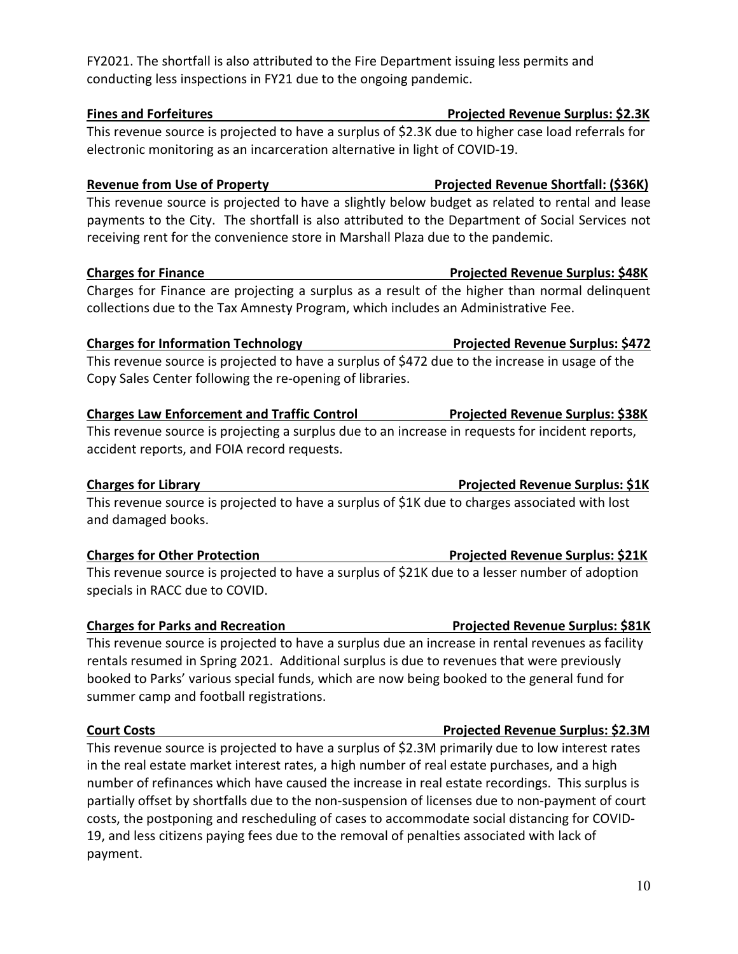### FY2021. The shortfall is also attributed to the Fire Department issuing less permits and conducting less inspections in FY21 due to the ongoing pandemic.

## **Fines and Forfeitures Projected Revenue Surplus: \$2.3K**

This revenue source is projected to have a surplus of \$2.3K due to higher case load referrals for electronic monitoring as an incarceration alternative in light of COVID-19.

# **Revenue from Use of Property Projected Revenue Shortfall: (\$36K)**

This revenue source is projected to have a slightly below budget as related to rental and lease payments to the City. The shortfall is also attributed to the Department of Social Services not receiving rent for the convenience store in Marshall Plaza due to the pandemic.

# **Charges for Finance Projected Revenue Surplus: \$48K**

Charges for Finance are projecting a surplus as a result of the higher than normal delinquent collections due to the Tax Amnesty Program, which includes an Administrative Fee.

# **Charges for Information Technology Projected Revenue Surplus: \$472**

This revenue source is projected to have a surplus of \$472 due to the increase in usage of the Copy Sales Center following the re-opening of libraries.

# **Charges Law Enforcement and Traffic Control Projected Revenue Surplus: \$38K**

This revenue source is projecting a surplus due to an increase in requests for incident reports, accident reports, and FOIA record requests.

# **Charges for Library Projected Revenue Surplus: \$1K**

This revenue source is projected to have a surplus of \$1K due to charges associated with lost and damaged books.

This revenue source is projected to have a surplus of \$21K due to a lesser number of adoption specials in RACC due to COVID.

# **Charges for Parks and Recreation Charges Act Are Projected Revenue Surplus: \$81K**

This revenue source is projected to have a surplus due an increase in rental revenues as facility rentals resumed in Spring 2021. Additional surplus is due to revenues that were previously booked to Parks' various special funds, which are now being booked to the general fund for summer camp and football registrations.

This revenue source is projected to have a surplus of \$2.3M primarily due to low interest rates in the real estate market interest rates, a high number of real estate purchases, and a high number of refinances which have caused the increase in real estate recordings. This surplus is partially offset by shortfalls due to the non-suspension of licenses due to non-payment of court costs, the postponing and rescheduling of cases to accommodate social distancing for COVID-19, and less citizens paying fees due to the removal of penalties associated with lack of payment.

# **Charges for Other Protection Projected Revenue Surplus: \$21K**

### **Court Costs Projected Revenue Surplus: \$2.3M**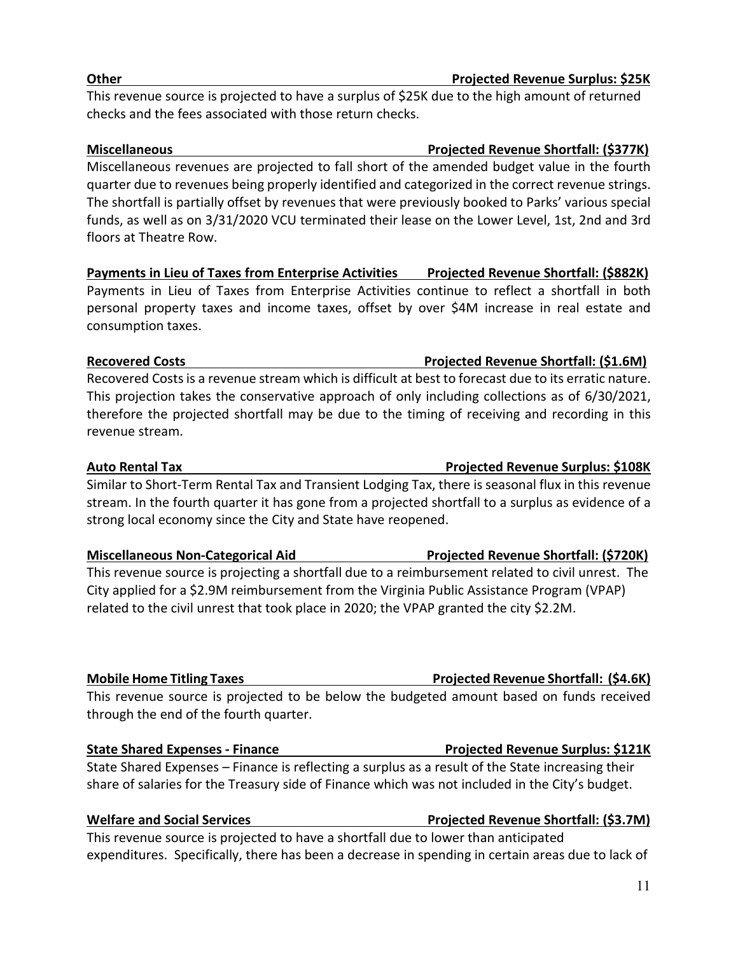# **Other Projected Revenue Surplus: \$25K**

This revenue source is projected to have a surplus of \$25K due to the high amount of returned checks and the fees associated with those return checks.

## **Miscellaneous Projected Revenue Shortfall: (\$377K)**

Miscellaneous revenues are projected to fall short of the amended budget value in the fourth quarter due to revenues being properly identified and categorized in the correct revenue strings. The shortfall is partially offset by revenues that were previously booked to Parks' various special funds, as well as on 3/31/2020 VCU terminated their lease on the Lower Level, 1st, 2nd and 3rd floors at Theatre Row.

# Payments in Lieu of Taxes from Enterprise Activities Projected Revenue Shortfall: (\$882K)

Payments in Lieu of Taxes from Enterprise Activities continue to reflect a shortfall in both personal property taxes and income taxes, offset by over \$4M increase in real estate and consumption taxes.

### **Recovered Costs Projected Revenue Shortfall: (\$1.6M)**

Recovered Costs is a revenue stream which is difficult at best to forecast due to its erratic nature. This projection takes the conservative approach of only including collections as of 6/30/2021, therefore the projected shortfall may be due to the timing of receiving and recording in this revenue stream.

Similar to Short-Term Rental Tax and Transient Lodging Tax, there is seasonal flux in this revenue stream. In the fourth quarter it has gone from a projected shortfall to a surplus as evidence of a strong local economy since the City and State have reopened.

# **Miscellaneous Non-Categorical Aid Projected Revenue Shortfall: (\$720K)**

This revenue source is projecting a shortfall due to a reimbursement related to civil unrest. The City applied for a \$2.9M reimbursement from the Virginia Public Assistance Program (VPAP) related to the civil unrest that took place in 2020; the VPAP granted the city \$2.2M.

This revenue source is projected to be below the budgeted amount based on funds received through the end of the fourth quarter.

# **State Shared Expenses - Finance Projected Revenue Surplus: \$121K**

State Shared Expenses – Finance is reflecting a surplus as a result of the State increasing their share of salaries for the Treasury side of Finance which was not included in the City's budget.

### **Welfare and Social Services Accessible Access Projected Revenue Shortfall: (\$3.7M)**

This revenue source is projected to have a shortfall due to lower than anticipated expenditures. Specifically, there has been a decrease in spending in certain areas due to lack of

# **Auto Rental Tax Projected Revenue Surplus: \$108K**

**Mobile Home Titling Taxes Projected Revenue Shortfall: (\$4.6K)**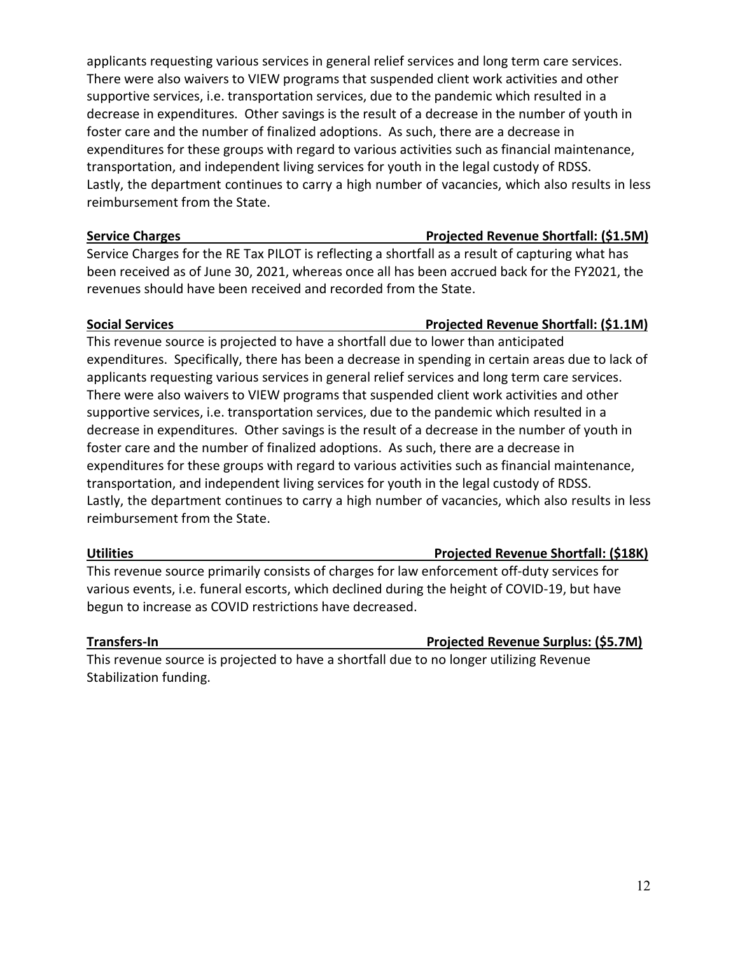applicants requesting various services in general relief services and long term care services. There were also waivers to VIEW programs that suspended client work activities and other supportive services, i.e. transportation services, due to the pandemic which resulted in a decrease in expenditures. Other savings is the result of a decrease in the number of youth in foster care and the number of finalized adoptions. As such, there are a decrease in expenditures for these groups with regard to various activities such as financial maintenance, transportation, and independent living services for youth in the legal custody of RDSS. Lastly, the department continues to carry a high number of vacancies, which also results in less reimbursement from the State.

### **Service Charges Projected Revenue Shortfall: (\$1.5M)**

Service Charges for the RE Tax PILOT is reflecting a shortfall as a result of capturing what has been received as of June 30, 2021, whereas once all has been accrued back for the FY2021, the revenues should have been received and recorded from the State.

### **Social Services Projected Revenue Shortfall: (\$1.1M)**

# This revenue source is projected to have a shortfall due to lower than anticipated expenditures. Specifically, there has been a decrease in spending in certain areas due to lack of applicants requesting various services in general relief services and long term care services. There were also waivers to VIEW programs that suspended client work activities and other supportive services, i.e. transportation services, due to the pandemic which resulted in a decrease in expenditures. Other savings is the result of a decrease in the number of youth in foster care and the number of finalized adoptions. As such, there are a decrease in expenditures for these groups with regard to various activities such as financial maintenance, transportation, and independent living services for youth in the legal custody of RDSS. Lastly, the department continues to carry a high number of vacancies, which also results in less reimbursement from the State.

### **Utilities Projected Revenue Shortfall: (\$18K)**

This revenue source primarily consists of charges for law enforcement off-duty services for various events, i.e. funeral escorts, which declined during the height of COVID-19, but have begun to increase as COVID restrictions have decreased.

### **Transfers-In Projected Revenue Surplus: (\$5.7M)**

This revenue source is projected to have a shortfall due to no longer utilizing Revenue Stabilization funding.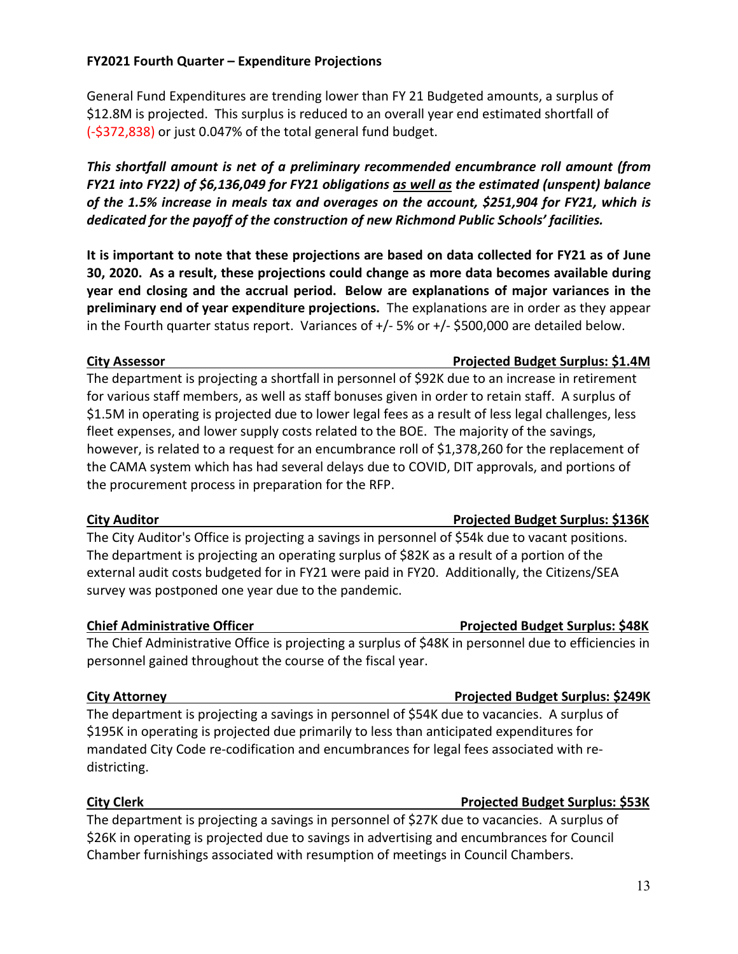### **FY2021 Fourth Quarter – Expenditure Projections**

General Fund Expenditures are trending lower than FY 21 Budgeted amounts, a surplus of \$12.8M is projected. This surplus is reduced to an overall year end estimated shortfall of (-\$372,838) or just 0.047% of the total general fund budget.

*This shortfall amount is net of a preliminary recommended encumbrance roll amount (from FY21 into FY22) of \$6,136,049 for FY21 obligations as well as the estimated (unspent) balance of the 1.5% increase in meals tax and overages on the account, \$251,904 for FY21, which is dedicated for the payoff of the construction of new Richmond Public Schools' facilities.*

**It is important to note that these projections are based on data collected for FY21 as of June 30, 2020. As a result, these projections could change as more data becomes available during year end closing and the accrual period. Below are explanations of major variances in the preliminary end of year expenditure projections.** The explanations are in order as they appear in the Fourth quarter status report. Variances of +/- 5% or +/- \$500,000 are detailed below.

The department is projecting a shortfall in personnel of \$92K due to an increase in retirement for various staff members, as well as staff bonuses given in order to retain staff. A surplus of \$1.5M in operating is projected due to lower legal fees as a result of less legal challenges, less fleet expenses, and lower supply costs related to the BOE. The majority of the savings, however, is related to a request for an encumbrance roll of \$1,378,260 for the replacement of the CAMA system which has had several delays due to COVID, DIT approvals, and portions of the procurement process in preparation for the RFP.

### **City Auditor Projected Budget Surplus: \$136K**

The City Auditor's Office is projecting a savings in personnel of \$54k due to vacant positions. The department is projecting an operating surplus of \$82K as a result of a portion of the external audit costs budgeted for in FY21 were paid in FY20. Additionally, the Citizens/SEA survey was postponed one year due to the pandemic.

The Chief Administrative Office is projecting a surplus of \$48K in personnel due to efficiencies in personnel gained throughout the course of the fiscal year.

### **City Attorney Projected Budget Surplus: \$249K**

The department is projecting a savings in personnel of \$54K due to vacancies. A surplus of \$195K in operating is projected due primarily to less than anticipated expenditures for mandated City Code re-codification and encumbrances for legal fees associated with redistricting.

### **City Clerk Projected Budget Surplus: \$53K**

The department is projecting a savings in personnel of \$27K due to vacancies. A surplus of \$26K in operating is projected due to savings in advertising and encumbrances for Council Chamber furnishings associated with resumption of meetings in Council Chambers.

# **Chief Administrative Officer Projected Budget Surplus: \$48K**

# **City Assessor Projected Budget Surplus: \$1.4M**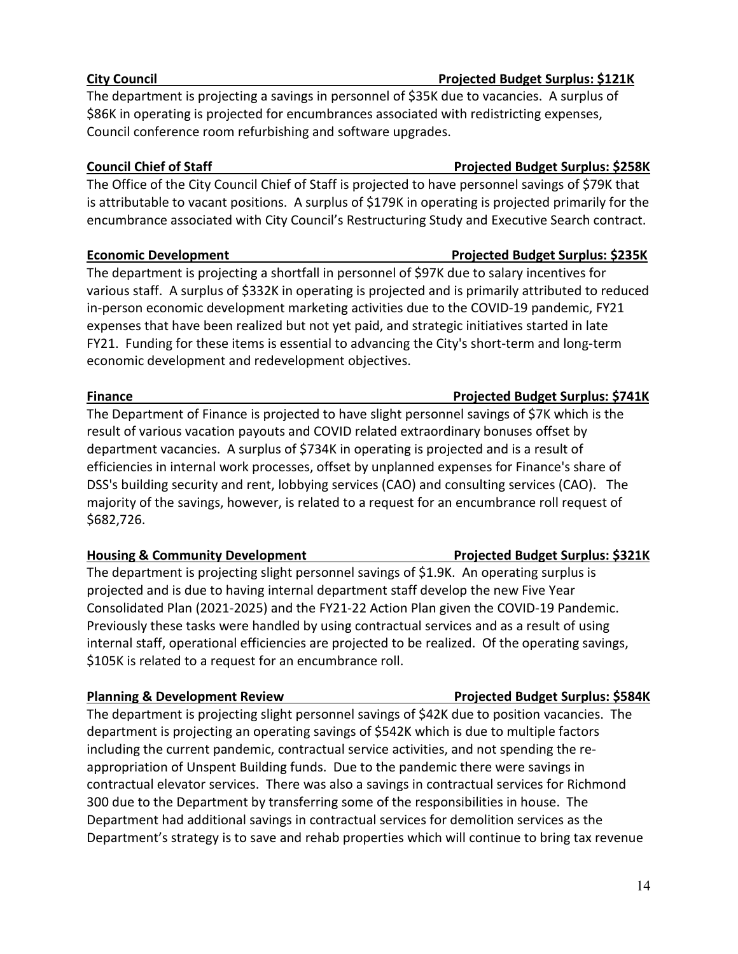# **City Council Projected Budget Surplus: \$121K**

The department is projecting a savings in personnel of \$35K due to vacancies. A surplus of \$86K in operating is projected for encumbrances associated with redistricting expenses, Council conference room refurbishing and software upgrades.

# **Council Chief of Staff Chief Article Council Chief of Staff Chief Article Council Chief Article Surplus: \$258K**

The Office of the City Council Chief of Staff is projected to have personnel savings of \$79K that is attributable to vacant positions. A surplus of \$179K in operating is projected primarily for the encumbrance associated with City Council's Restructuring Study and Executive Search contract.

The department is projecting a shortfall in personnel of \$97K due to salary incentives for various staff. A surplus of \$332K in operating is projected and is primarily attributed to reduced in-person economic development marketing activities due to the COVID-19 pandemic, FY21 expenses that have been realized but not yet paid, and strategic initiatives started in late FY21. Funding for these items is essential to advancing the City's short-term and long-term economic development and redevelopment objectives.

# **Finance Projected Budget Surplus: \$741K**

The Department of Finance is projected to have slight personnel savings of \$7K which is the result of various vacation payouts and COVID related extraordinary bonuses offset by department vacancies. A surplus of \$734K in operating is projected and is a result of efficiencies in internal work processes, offset by unplanned expenses for Finance's share of DSS's building security and rent, lobbying services (CAO) and consulting services (CAO). The majority of the savings, however, is related to a request for an encumbrance roll request of \$682,726.

# **Housing & Community Development Projected Budget Surplus: \$321K**

The department is projecting slight personnel savings of \$1.9K. An operating surplus is projected and is due to having internal department staff develop the new Five Year Consolidated Plan (2021-2025) and the FY21-22 Action Plan given the COVID-19 Pandemic. Previously these tasks were handled by using contractual services and as a result of using internal staff, operational efficiencies are projected to be realized. Of the operating savings, \$105K is related to a request for an encumbrance roll.

# **Planning & Development Review Projected Budget Surplus: \$584K**

The department is projecting slight personnel savings of \$42K due to position vacancies. The department is projecting an operating savings of \$542K which is due to multiple factors including the current pandemic, contractual service activities, and not spending the reappropriation of Unspent Building funds. Due to the pandemic there were savings in contractual elevator services. There was also a savings in contractual services for Richmond 300 due to the Department by transferring some of the responsibilities in house. The Department had additional savings in contractual services for demolition services as the Department's strategy is to save and rehab properties which will continue to bring tax revenue

# **Economic Development Projected Budget Surplus: \$235K**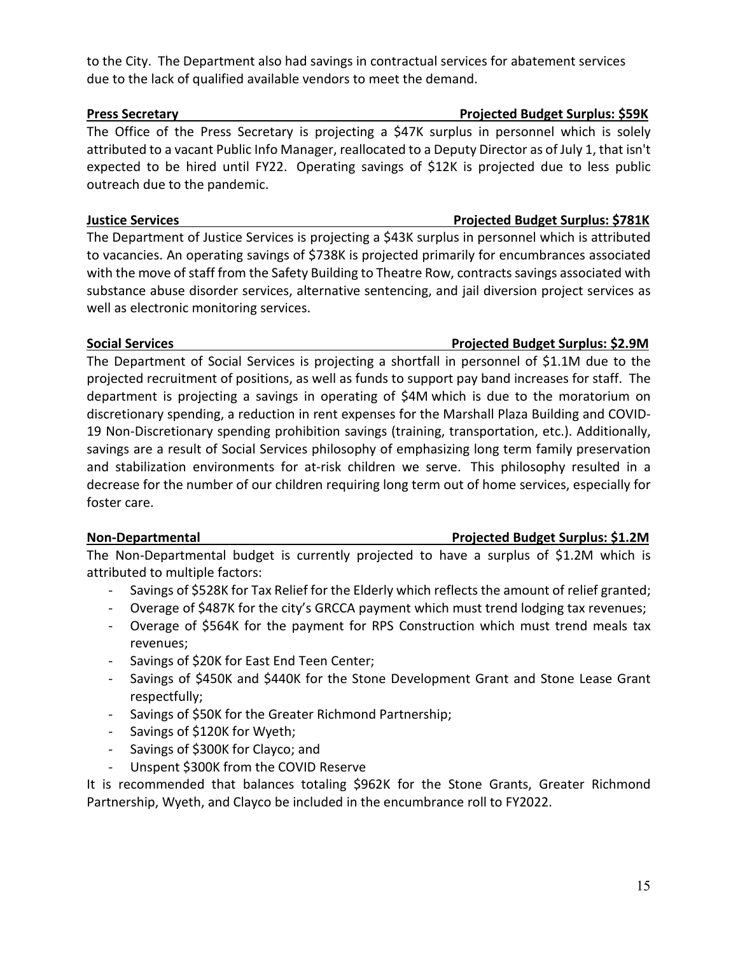### to the City. The Department also had savings in contractual services for abatement services due to the lack of qualified available vendors to meet the demand.

The Office of the Press Secretary is projecting a \$47K surplus in personnel which is solely attributed to a vacant Public Info Manager, reallocated to a Deputy Director as of July 1, that isn't expected to be hired until FY22. Operating savings of \$12K is projected due to less public outreach due to the pandemic.

## **Justice Services Projected Budget Surplus: \$781K**

The Department of Justice Services is projecting a \$43K surplus in personnel which is attributed to vacancies. An operating savings of \$738K is projected primarily for encumbrances associated with the move of staff from the Safety Building to Theatre Row, contracts savings associated with substance abuse disorder services, alternative sentencing, and jail diversion project services as well as electronic monitoring services.

The Department of Social Services is projecting a shortfall in personnel of \$1.1M due to the projected recruitment of positions, as well as funds to support pay band increases for staff. The department is projecting a savings in operating of \$4M which is due to the moratorium on discretionary spending, a reduction in rent expenses for the Marshall Plaza Building and COVID-19 Non-Discretionary spending prohibition savings (training, transportation, etc.). Additionally, savings are a result of Social Services philosophy of emphasizing long term family preservation and stabilization environments for at-risk children we serve. This philosophy resulted in a decrease for the number of our children requiring long term out of home services, especially for foster care.

The Non-Departmental budget is currently projected to have a surplus of \$1.2M which is attributed to multiple factors:

- Savings of \$528K for Tax Relief for the Elderly which reflects the amount of relief granted;
- Overage of \$487K for the city's GRCCA payment which must trend lodging tax revenues;
- Overage of \$564K for the payment for RPS Construction which must trend meals tax revenues;
- Savings of \$20K for East End Teen Center;
- Savings of \$450K and \$440K for the Stone Development Grant and Stone Lease Grant respectfully;
- Savings of \$50K for the Greater Richmond Partnership;
- Savings of \$120K for Wyeth;
- Savings of \$300K for Clayco; and
- Unspent \$300K from the COVID Reserve

It is recommended that balances totaling \$962K for the Stone Grants, Greater Richmond Partnership, Wyeth, and Clayco be included in the encumbrance roll to FY2022.

### **Press Secretary Projected Budget Surplus: \$59K**

### **Social Services Projected Budget Surplus: \$2.9M**

# **Non-Departmental Projected Budget Surplus: \$1.2M**